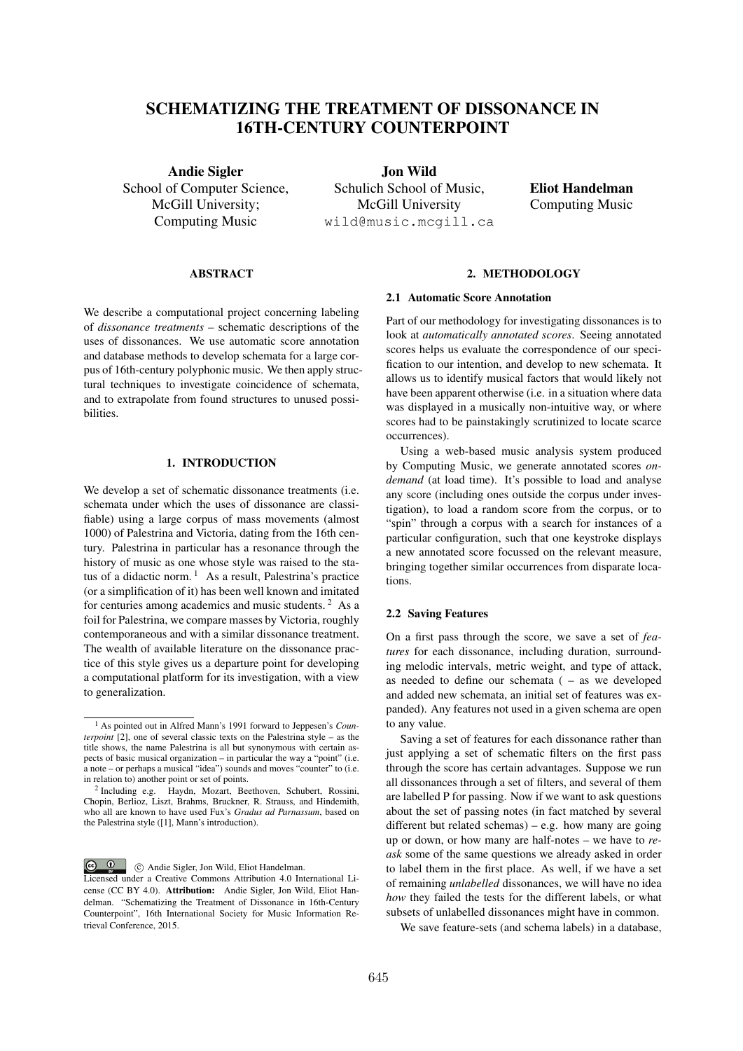# SCHEMATIZING THE TREATMENT OF DISSONANCE IN 16TH-CENTURY COUNTERPOINT

Andie Sigler School of Computer Science, McGill University; Computing Music

Jon Wild Schulich School of Music, McGill University wild@music.mcgill.ca

Eliot Handelman Computing Music

## ABSTRACT

We describe a computational project concerning labeling of *dissonance treatments* – schematic descriptions of the uses of dissonances. We use automatic score annotation and database methods to develop schemata for a large corpus of 16th-century polyphonic music. We then apply structural techniques to investigate coincidence of schemata, and to extrapolate from found structures to unused possibilities.

# 1. INTRODUCTION

We develop a set of schematic dissonance treatments (i.e. schemata under which the uses of dissonance are classifiable) using a large corpus of mass movements (almost 1000) of Palestrina and Victoria, dating from the 16th century. Palestrina in particular has a resonance through the history of music as one whose style was raised to the status of a didactic norm.<sup>1</sup> As a result, Palestrina's practice (or a simplification of it) has been well known and imitated for centuries among academics and music students.<sup>2</sup> As a foil for Palestrina, we compare masses by Victoria, roughly contemporaneous and with a similar dissonance treatment. The wealth of available literature on the dissonance practice of this style gives us a departure point for developing a computational platform for its investigation, with a view to generalization.

 $\circ$   $\circ$ c Andie Sigler, Jon Wild, Eliot Handelman.

# 2. METHODOLOGY

## 2.1 Automatic Score Annotation

Part of our methodology for investigating dissonances is to look at *automatically annotated scores*. Seeing annotated scores helps us evaluate the correspondence of our specification to our intention, and develop to new schemata. It allows us to identify musical factors that would likely not have been apparent otherwise (i.e. in a situation where data was displayed in a musically non-intuitive way, or where scores had to be painstakingly scrutinized to locate scarce occurrences).

Using a web-based music analysis system produced by Computing Music, we generate annotated scores *ondemand* (at load time). It's possible to load and analyse any score (including ones outside the corpus under investigation), to load a random score from the corpus, or to "spin" through a corpus with a search for instances of a particular configuration, such that one keystroke displays a new annotated score focussed on the relevant measure, bringing together similar occurrences from disparate locations.

## 2.2 Saving Features

On a first pass through the score, we save a set of *features* for each dissonance, including duration, surrounding melodic intervals, metric weight, and type of attack, as needed to define our schemata ( – as we developed and added new schemata, an initial set of features was expanded). Any features not used in a given schema are open to any value.

Saving a set of features for each dissonance rather than just applying a set of schematic filters on the first pass through the score has certain advantages. Suppose we run all dissonances through a set of filters, and several of them are labelled P for passing. Now if we want to ask questions about the set of passing notes (in fact matched by several different but related schemas) – e.g. how many are going up or down, or how many are half-notes – we have to *reask* some of the same questions we already asked in order to label them in the first place. As well, if we have a set of remaining *unlabelled* dissonances, we will have no idea *how* they failed the tests for the different labels, or what subsets of unlabelled dissonances might have in common.

We save feature-sets (and schema labels) in a database,

<sup>1</sup> As pointed out in Alfred Mann's 1991 forward to Jeppesen's *Counterpoint* [2], one of several classic texts on the Palestrina style – as the title shows, the name Palestrina is all but synonymous with certain aspects of basic musical organization – in particular the way a "point" (i.e. a note – or perhaps a musical "idea") sounds and moves "counter" to (i.e. in relation to) another point or set of points.

<sup>2</sup> Including e.g. Haydn, Mozart, Beethoven, Schubert, Rossini, Chopin, Berlioz, Liszt, Brahms, Bruckner, R. Strauss, and Hindemith, who all are known to have used Fux's *Gradus ad Parnassum*, based on the Palestrina style ([1], Mann's introduction).

Licensed under a Creative Commons Attribution 4.0 International License (CC BY 4.0). Attribution: Andie Sigler, Jon Wild, Eliot Handelman. "Schematizing the Treatment of Dissonance in 16th-Century Counterpoint", 16th International Society for Music Information Retrieval Conference, 2015.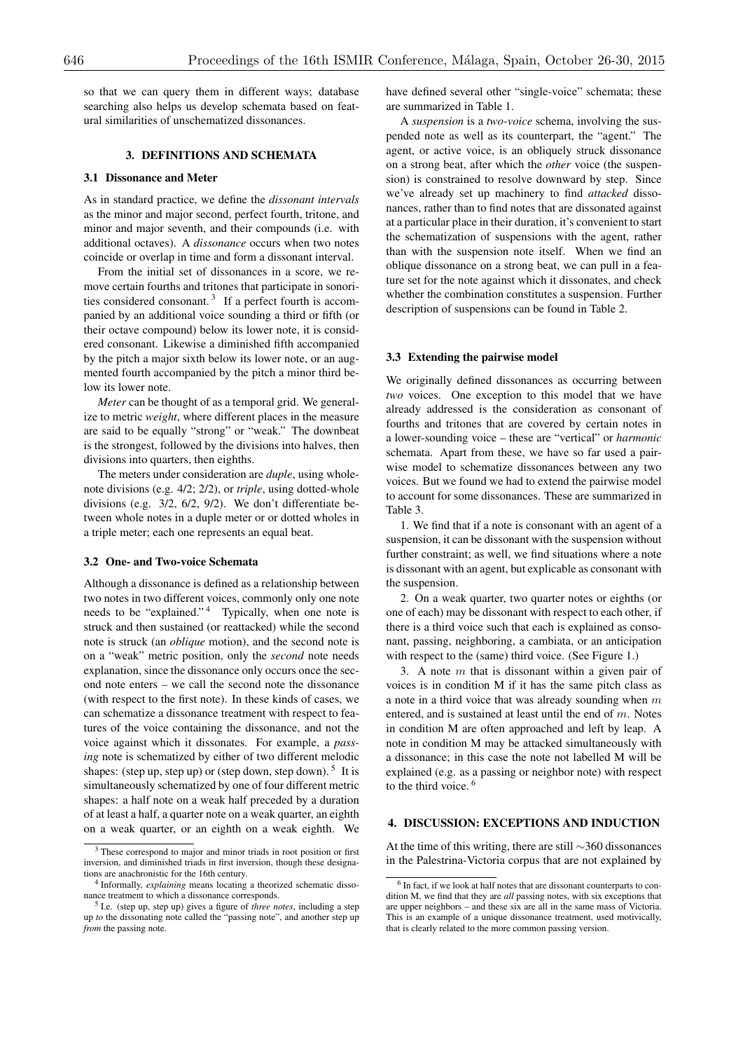so that we can query them in different ways; database searching also helps us develop schemata based on featural similarities of unschematized dissonances.

# 3. DEFINITIONS AND SCHEMATA

#### 3.1 Dissonance and Meter

As in standard practice, we define the *dissonant intervals* as the minor and major second, perfect fourth, tritone, and minor and major seventh, and their compounds (i.e. with additional octaves). A *dissonance* occurs when two notes coincide or overlap in time and form a dissonant interval.

From the initial set of dissonances in a score, we remove certain fourths and tritones that participate in sonorities considered consonant.<sup>3</sup> If a perfect fourth is accompanied by an additional voice sounding a third or fifth (or their octave compound) below its lower note, it is considered consonant. Likewise a diminished fifth accompanied by the pitch a major sixth below its lower note, or an augmented fourth accompanied by the pitch a minor third below its lower note.

*Meter* can be thought of as a temporal grid. We generalize to metric *weight*, where different places in the measure are said to be equally "strong" or "weak." The downbeat is the strongest, followed by the divisions into halves, then divisions into quarters, then eighths.

The meters under consideration are *duple*, using wholenote divisions (e.g. 4/2; 2/2), or *triple*, using dotted-whole divisions (e.g. 3/2, 6/2, 9/2). We don't differentiate between whole notes in a duple meter or or dotted wholes in a triple meter; each one represents an equal beat.

## 3.2 One- and Two-voice Schemata

Although a dissonance is defined as a relationship between two notes in two different voices, commonly only one note needs to be "explained."<sup>4</sup> Typically, when one note is struck and then sustained (or reattacked) while the second note is struck (an *oblique* motion), and the second note is on a "weak" metric position, only the *second* note needs explanation, since the dissonance only occurs once the second note enters – we call the second note the dissonance (with respect to the first note). In these kinds of cases, we can schematize a dissonance treatment with respect to features of the voice containing the dissonance, and not the voice against which it dissonates. For example, a *passing* note is schematized by either of two different melodic shapes: (step up, step up) or (step down, step down).  $5$  It is simultaneously schematized by one of four different metric shapes: a half note on a weak half preceded by a duration of at least a half, a quarter note on a weak quarter, an eighth on a weak quarter, or an eighth on a weak eighth. We

have defined several other "single-voice" schemata; these are summarized in Table 1.

A *suspension* is a *two-voice* schema, involving the suspended note as well as its counterpart, the "agent." The agent, or active voice, is an obliquely struck dissonance on a strong beat, after which the *other* voice (the suspension) is constrained to resolve downward by step. Since we've already set up machinery to find *attacked* dissonances, rather than to find notes that are dissonated against at a particular place in their duration, it's convenient to start the schematization of suspensions with the agent, rather than with the suspension note itself. When we find an oblique dissonance on a strong beat, we can pull in a feature set for the note against which it dissonates, and check whether the combination constitutes a suspension. Further description of suspensions can be found in Table 2.

#### 3.3 Extending the pairwise model

We originally defined dissonances as occurring between *two* voices. One exception to this model that we have already addressed is the consideration as consonant of fourths and tritones that are covered by certain notes in a lower-sounding voice – these are "vertical" or *harmonic* schemata. Apart from these, we have so far used a pairwise model to schematize dissonances between any two voices. But we found we had to extend the pairwise model to account for some dissonances. These are summarized in Table 3.

1. We find that if a note is consonant with an agent of a suspension, it can be dissonant with the suspension without further constraint; as well, we find situations where a note is dissonant with an agent, but explicable as consonant with the suspension.

2. On a weak quarter, two quarter notes or eighths (or one of each) may be dissonant with respect to each other, if there is a third voice such that each is explained as consonant, passing, neighboring, a cambiata, or an anticipation with respect to the (same) third voice. (See Figure 1.)

3. A note *m* that is dissonant within a given pair of voices is in condition M if it has the same pitch class as a note in a third voice that was already sounding when *m* entered, and is sustained at least until the end of *m*. Notes in condition M are often approached and left by leap. A note in condition M may be attacked simultaneously with a dissonance; in this case the note not labelled M will be explained (e.g. as a passing or neighbor note) with respect to the third voice. <sup>6</sup>

## 4. DISCUSSION: EXCEPTIONS AND INDUCTION

At the time of this writing, there are still  $\sim$ 360 dissonances in the Palestrina-Victoria corpus that are not explained by

<sup>&</sup>lt;sup>3</sup> These correspond to major and minor triads in root position or first inversion, and diminished triads in first inversion, though these designations are anachronistic for the 16th century.

<sup>4</sup> Informally, *explaining* means locating a theorized schematic dissonance treatment to which a dissonance corresponds.

<sup>5</sup> I.e. (step up, step up) gives a figure of *three notes*, including a step up *to* the dissonating note called the "passing note", and another step up *from* the passing note.

<sup>6</sup> In fact, if we look at half notes that are dissonant counterparts to condition M, we find that they are *all* passing notes, with six exceptions that are upper neighbors – and these six are all in the same mass of Victoria. This is an example of a unique dissonance treatment, used motivically, that is clearly related to the more common passing version.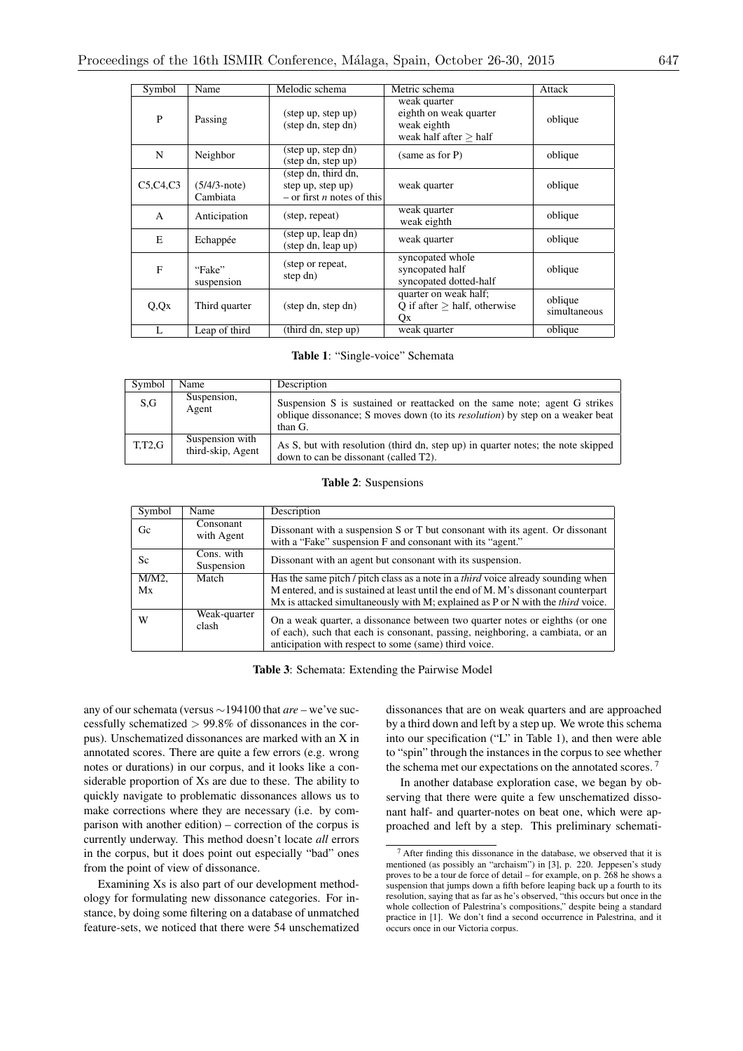| Symbol     | Name                        | Melodic schema                                                                  | Metric schema                                                                     | Attack                  |
|------------|-----------------------------|---------------------------------------------------------------------------------|-----------------------------------------------------------------------------------|-------------------------|
| P          | Passing                     | $(\text{step up}, \text{step up})$<br>(step dn, step dn)                        | weak quarter<br>eighth on weak quarter<br>weak eighth<br>weak half after $>$ half | oblique                 |
| N          | Neighbor                    | (step up, step dn)<br>(step dn, step up)                                        | (same as for P)                                                                   | oblique                 |
| C5,C4,C3   | $(5/4/3$ -note)<br>Cambiata | (step dn, third dn,<br>step up, step up)<br>$-$ or first <i>n</i> notes of this | weak quarter                                                                      | oblique                 |
| A          | Anticipation                | (step, repeat)                                                                  | weak quarter<br>weak eighth                                                       | oblique                 |
| E          | Echappée                    | (step up, leap dn)<br>(step dn, leap up)                                        | weak quarter                                                                      | oblique                 |
| F          | "Fake"<br>suspension        | (step or repeat,<br>step dn)                                                    | syncopated whole<br>syncopated half<br>syncopated dotted-half                     | oblique                 |
| $Q$ , $Qx$ | Third quarter               | (step dn, step dn)                                                              | quarter on weak half;<br>Q if after $>$ half, otherwise<br>Qx                     | oblique<br>simultaneous |
| L          | Leap of third               | (third dn, step up)                                                             | weak quarter                                                                      | oblique                 |

Table 1: "Single-voice" Schemata

| Symbol        | Name                                 | Description                                                                                                                                                                   |
|---------------|--------------------------------------|-------------------------------------------------------------------------------------------------------------------------------------------------------------------------------|
| S.G           | Suspension,<br>Agent                 | Suspension S is sustained or reatracked on the same note; agent G strikes<br>oblique dissonance; S moves down (to its <i>resolution</i> ) by step on a weaker beat<br>than G. |
| <b>T.T2.G</b> | Suspension with<br>third-skip, Agent | As S, but with resolution (third dn, step up) in quarter notes; the note skipped<br>down to can be dissonant (called T2).                                                     |

Table 2: Suspensions

| Symbol   | Name                     | Description                                                                                                                                                                                                             |
|----------|--------------------------|-------------------------------------------------------------------------------------------------------------------------------------------------------------------------------------------------------------------------|
| Gc       | Consonant<br>with Agent  | Dissonant with a suspension S or T but consonant with its agent. Or dissonant<br>with a "Fake" suspension F and consonant with its "agent."                                                                             |
| Sc.      | Cons. with<br>Suspension | Dissonant with an agent but consonant with its suspension.                                                                                                                                                              |
| $M/M2$ , | Match                    | Has the same pitch / pitch class as a note in a <i>third</i> voice already sounding when                                                                                                                                |
| Mx       |                          | M entered, and is sustained at least until the end of M. M's dissonant counterpart                                                                                                                                      |
|          |                          | Mx is attacked simultaneously with M; explained as P or N with the <i>third</i> voice.                                                                                                                                  |
| W        | Weak-quarter<br>clash    | On a weak quarter, a dissonance between two quarter notes or eighths (or one<br>of each), such that each is consonant, passing, neighboring, a cambiata, or an<br>anticipation with respect to some (same) third voice. |

Table 3: Schemata: Extending the Pairwise Model

any of our schemata (versus  $\sim$ 194100 that *are* – we've successfully schematized *>* 99.8% of dissonances in the corpus). Unschematized dissonances are marked with an X in annotated scores. There are quite a few errors (e.g. wrong notes or durations) in our corpus, and it looks like a considerable proportion of Xs are due to these. The ability to quickly navigate to problematic dissonances allows us to make corrections where they are necessary (i.e. by comparison with another edition) – correction of the corpus is currently underway. This method doesn't locate *all* errors in the corpus, but it does point out especially "bad" ones from the point of view of dissonance.

Examining Xs is also part of our development methodology for formulating new dissonance categories. For instance, by doing some filtering on a database of unmatched feature-sets, we noticed that there were 54 unschematized dissonances that are on weak quarters and are approached by a third down and left by a step up. We wrote this schema into our specification ("L" in Table 1), and then were able to "spin" through the instances in the corpus to see whether the schema met our expectations on the annotated scores.<sup>7</sup>

In another database exploration case, we began by observing that there were quite a few unschematized dissonant half- and quarter-notes on beat one, which were approached and left by a step. This preliminary schemati-

<sup>7</sup> After finding this dissonance in the database, we observed that it is mentioned (as possibly an "archaism") in [3], p. 220. Jeppesen's study proves to be a tour de force of detail – for example, on p. 268 he shows a suspension that jumps down a fifth before leaping back up a fourth to its resolution, saying that as far as he's observed, "this occurs but once in the whole collection of Palestrina's compositions," despite being a standard practice in [1]. We don't find a second occurrence in Palestrina, and it occurs once in our Victoria corpus.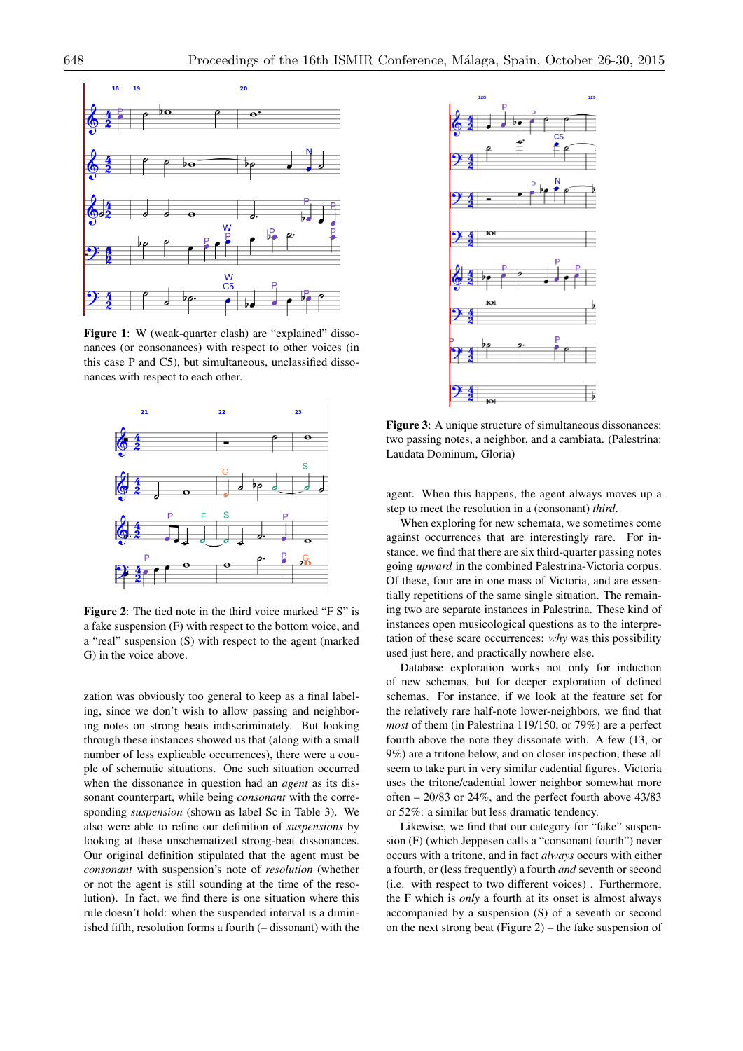

Figure 1: W (weak-quarter clash) are "explained" dissonances (or consonances) with respect to other voices (in this case P and C5), but simultaneous, unclassified dissonances with respect to each other.



Figure 2: The tied note in the third voice marked "F S" is a fake suspension (F) with respect to the bottom voice, and a "real" suspension (S) with respect to the agent (marked G) in the voice above.

zation was obviously too general to keep as a final labeling, since we don't wish to allow passing and neighboring notes on strong beats indiscriminately. But looking through these instances showed us that (along with a small number of less explicable occurrences), there were a couple of schematic situations. One such situation occurred when the dissonance in question had an *agent* as its dissonant counterpart, while being *consonant* with the corresponding *suspension* (shown as label Sc in Table 3). We also were able to refine our definition of *suspensions* by looking at these unschematized strong-beat dissonances. Our original definition stipulated that the agent must be *consonant* with suspension's note of *resolution* (whether or not the agent is still sounding at the time of the resolution). In fact, we find there is one situation where this rule doesn't hold: when the suspended interval is a diminished fifth, resolution forms a fourth (– dissonant) with the



Figure 3: A unique structure of simultaneous dissonances: two passing notes, a neighbor, and a cambiata. (Palestrina: Laudata Dominum, Gloria)

agent. When this happens, the agent always moves up a step to meet the resolution in a (consonant) *third*.

When exploring for new schemata, we sometimes come against occurrences that are interestingly rare. For instance, we find that there are six third-quarter passing notes going *upward* in the combined Palestrina-Victoria corpus. Of these, four are in one mass of Victoria, and are essentially repetitions of the same single situation. The remaining two are separate instances in Palestrina. These kind of instances open musicological questions as to the interpretation of these scare occurrences: *why* was this possibility used just here, and practically nowhere else.

Database exploration works not only for induction of new schemas, but for deeper exploration of defined schemas. For instance, if we look at the feature set for the relatively rare half-note lower-neighbors, we find that *most* of them (in Palestrina 119/150, or 79%) are a perfect fourth above the note they dissonate with. A few (13, or 9%) are a tritone below, and on closer inspection, these all seem to take part in very similar cadential figures. Victoria uses the tritone/cadential lower neighbor somewhat more often – 20/83 or 24%, and the perfect fourth above 43/83 or 52%: a similar but less dramatic tendency.

Likewise, we find that our category for "fake" suspension (F) (which Jeppesen calls a "consonant fourth") never occurs with a tritone, and in fact *always* occurs with either a fourth, or (less frequently) a fourth *and* seventh or second (i.e. with respect to two different voices) . Furthermore, the F which is *only* a fourth at its onset is almost always accompanied by a suspension (S) of a seventh or second on the next strong beat (Figure 2) – the fake suspension of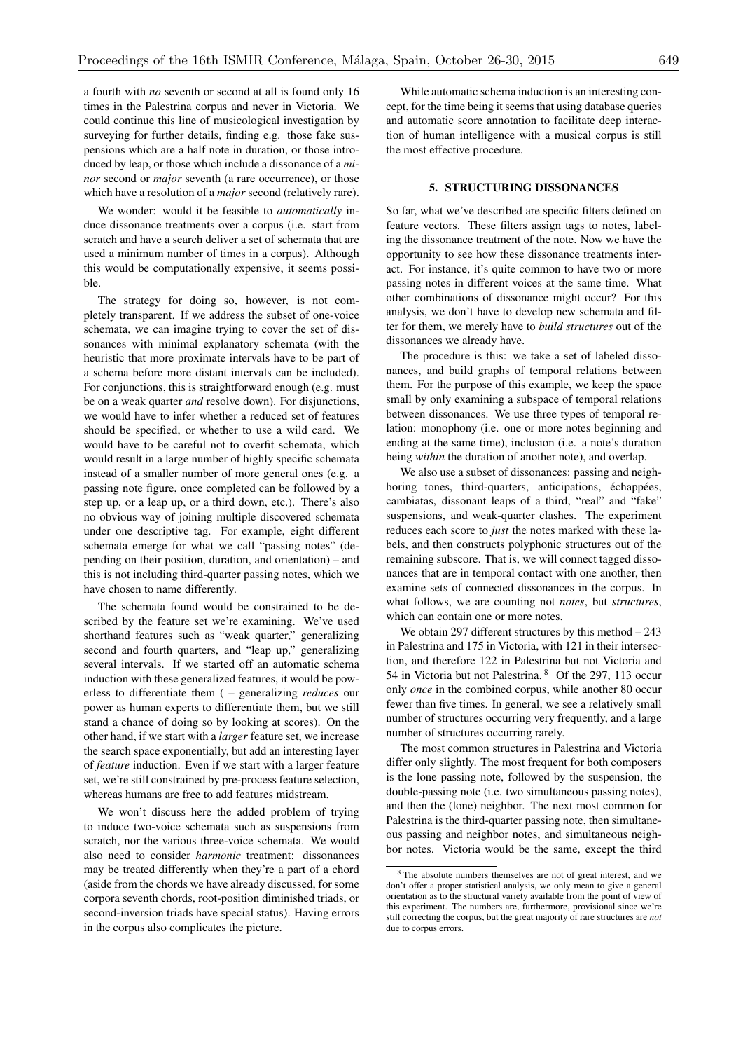a fourth with *no* seventh or second at all is found only 16 times in the Palestrina corpus and never in Victoria. We could continue this line of musicological investigation by surveying for further details, finding e.g. those fake suspensions which are a half note in duration, or those introduced by leap, or those which include a dissonance of a *minor* second or *major* seventh (a rare occurrence), or those which have a resolution of a *major* second (relatively rare).

We wonder: would it be feasible to *automatically* induce dissonance treatments over a corpus (i.e. start from scratch and have a search deliver a set of schemata that are used a minimum number of times in a corpus). Although this would be computationally expensive, it seems possible.

The strategy for doing so, however, is not completely transparent. If we address the subset of one-voice schemata, we can imagine trying to cover the set of dissonances with minimal explanatory schemata (with the heuristic that more proximate intervals have to be part of a schema before more distant intervals can be included). For conjunctions, this is straightforward enough (e.g. must be on a weak quarter *and* resolve down). For disjunctions, we would have to infer whether a reduced set of features should be specified, or whether to use a wild card. We would have to be careful not to overfit schemata, which would result in a large number of highly specific schemata instead of a smaller number of more general ones (e.g. a passing note figure, once completed can be followed by a step up, or a leap up, or a third down, etc.). There's also no obvious way of joining multiple discovered schemata under one descriptive tag. For example, eight different schemata emerge for what we call "passing notes" (depending on their position, duration, and orientation) – and this is not including third-quarter passing notes, which we have chosen to name differently.

The schemata found would be constrained to be described by the feature set we're examining. We've used shorthand features such as "weak quarter," generalizing second and fourth quarters, and "leap up," generalizing several intervals. If we started off an automatic schema induction with these generalized features, it would be powerless to differentiate them ( – generalizing *reduces* our power as human experts to differentiate them, but we still stand a chance of doing so by looking at scores). On the other hand, if we start with a *larger* feature set, we increase the search space exponentially, but add an interesting layer of *feature* induction. Even if we start with a larger feature set, we're still constrained by pre-process feature selection, whereas humans are free to add features midstream.

We won't discuss here the added problem of trying to induce two-voice schemata such as suspensions from scratch, nor the various three-voice schemata. We would also need to consider *harmonic* treatment: dissonances may be treated differently when they're a part of a chord (aside from the chords we have already discussed, for some corpora seventh chords, root-position diminished triads, or second-inversion triads have special status). Having errors in the corpus also complicates the picture.

While automatic schema induction is an interesting concept, for the time being it seems that using database queries and automatic score annotation to facilitate deep interaction of human intelligence with a musical corpus is still the most effective procedure.

## 5. STRUCTURING DISSONANCES

So far, what we've described are specific filters defined on feature vectors. These filters assign tags to notes, labeling the dissonance treatment of the note. Now we have the opportunity to see how these dissonance treatments interact. For instance, it's quite common to have two or more passing notes in different voices at the same time. What other combinations of dissonance might occur? For this analysis, we don't have to develop new schemata and filter for them, we merely have to *build structures* out of the dissonances we already have.

The procedure is this: we take a set of labeled dissonances, and build graphs of temporal relations between them. For the purpose of this example, we keep the space small by only examining a subspace of temporal relations between dissonances. We use three types of temporal relation: monophony (i.e. one or more notes beginning and ending at the same time), inclusion (i.e. a note's duration being *within* the duration of another note), and overlap.

We also use a subset of dissonances: passing and neighboring tones, third-quarters, anticipations, échappées, cambiatas, dissonant leaps of a third, "real" and "fake" suspensions, and weak-quarter clashes. The experiment reduces each score to *just* the notes marked with these labels, and then constructs polyphonic structures out of the remaining subscore. That is, we will connect tagged dissonances that are in temporal contact with one another, then examine sets of connected dissonances in the corpus. In what follows, we are counting not *notes*, but *structures*, which can contain one or more notes.

We obtain 297 different structures by this method – 243 in Palestrina and 175 in Victoria, with 121 in their intersection, and therefore 122 in Palestrina but not Victoria and 54 in Victoria but not Palestrina. <sup>8</sup> Of the 297, 113 occur only *once* in the combined corpus, while another 80 occur fewer than five times. In general, we see a relatively small number of structures occurring very frequently, and a large number of structures occurring rarely.

The most common structures in Palestrina and Victoria differ only slightly. The most frequent for both composers is the lone passing note, followed by the suspension, the double-passing note (i.e. two simultaneous passing notes), and then the (lone) neighbor. The next most common for Palestrina is the third-quarter passing note, then simultaneous passing and neighbor notes, and simultaneous neighbor notes. Victoria would be the same, except the third

<sup>8</sup> The absolute numbers themselves are not of great interest, and we don't offer a proper statistical analysis, we only mean to give a general orientation as to the structural variety available from the point of view of this experiment. The numbers are, furthermore, provisional since we're still correcting the corpus, but the great majority of rare structures are *not* due to corpus errors.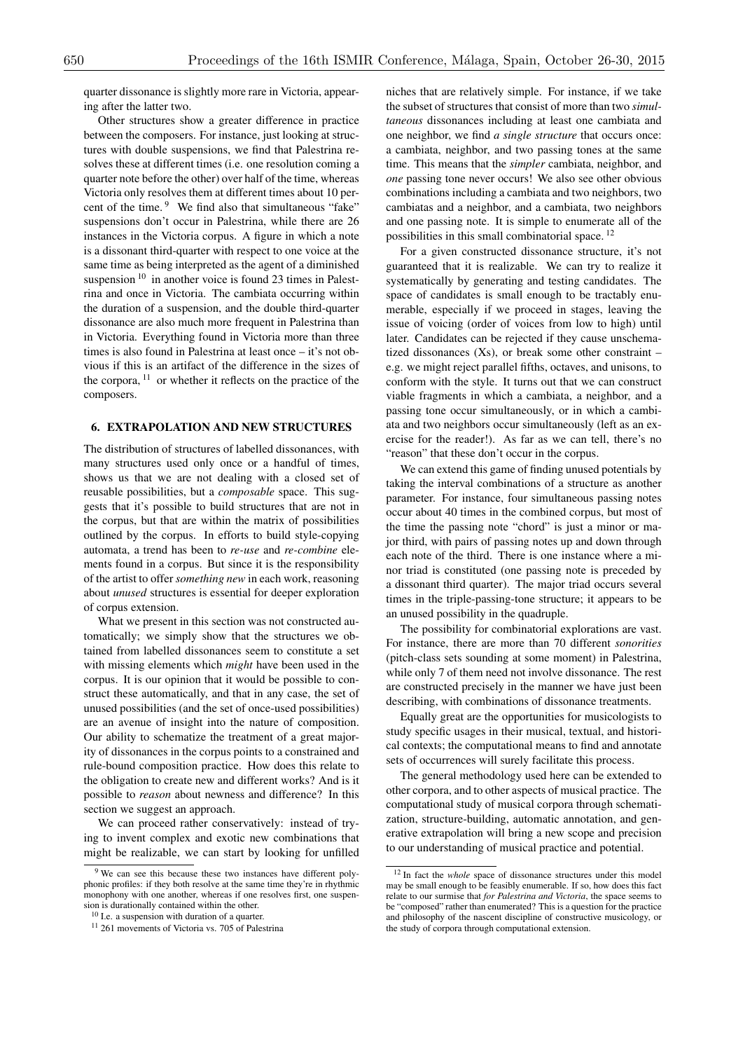quarter dissonance is slightly more rare in Victoria, appearing after the latter two.

Other structures show a greater difference in practice between the composers. For instance, just looking at structures with double suspensions, we find that Palestrina resolves these at different times (i.e. one resolution coming a quarter note before the other) over half of the time, whereas Victoria only resolves them at different times about 10 percent of the time. <sup>9</sup> We find also that simultaneous "fake" suspensions don't occur in Palestrina, while there are 26 instances in the Victoria corpus. A figure in which a note is a dissonant third-quarter with respect to one voice at the same time as being interpreted as the agent of a diminished suspension<sup>10</sup> in another voice is found 23 times in Palestrina and once in Victoria. The cambiata occurring within the duration of a suspension, and the double third-quarter dissonance are also much more frequent in Palestrina than in Victoria. Everything found in Victoria more than three times is also found in Palestrina at least once – it's not obvious if this is an artifact of the difference in the sizes of the corpora,  $11$  or whether it reflects on the practice of the composers.

## 6. EXTRAPOLATION AND NEW STRUCTURES

The distribution of structures of labelled dissonances, with many structures used only once or a handful of times, shows us that we are not dealing with a closed set of reusable possibilities, but a *composable* space. This suggests that it's possible to build structures that are not in the corpus, but that are within the matrix of possibilities outlined by the corpus. In efforts to build style-copying automata, a trend has been to *re-use* and *re-combine* elements found in a corpus. But since it is the responsibility of the artist to offer *something new* in each work, reasoning about *unused* structures is essential for deeper exploration of corpus extension.

What we present in this section was not constructed automatically; we simply show that the structures we obtained from labelled dissonances seem to constitute a set with missing elements which *might* have been used in the corpus. It is our opinion that it would be possible to construct these automatically, and that in any case, the set of unused possibilities (and the set of once-used possibilities) are an avenue of insight into the nature of composition. Our ability to schematize the treatment of a great majority of dissonances in the corpus points to a constrained and rule-bound composition practice. How does this relate to the obligation to create new and different works? And is it possible to *reason* about newness and difference? In this section we suggest an approach.

We can proceed rather conservatively: instead of trying to invent complex and exotic new combinations that might be realizable, we can start by looking for unfilled niches that are relatively simple. For instance, if we take the subset of structures that consist of more than two *simultaneous* dissonances including at least one cambiata and one neighbor, we find *a single structure* that occurs once: a cambiata, neighbor, and two passing tones at the same time. This means that the *simpler* cambiata, neighbor, and *one* passing tone never occurs! We also see other obvious combinations including a cambiata and two neighbors, two cambiatas and a neighbor, and a cambiata, two neighbors and one passing note. It is simple to enumerate all of the possibilities in this small combinatorial space. <sup>12</sup>

For a given constructed dissonance structure, it's not guaranteed that it is realizable. We can try to realize it systematically by generating and testing candidates. The space of candidates is small enough to be tractably enumerable, especially if we proceed in stages, leaving the issue of voicing (order of voices from low to high) until later. Candidates can be rejected if they cause unschematized dissonances  $(Xs)$ , or break some other constraint – e.g. we might reject parallel fifths, octaves, and unisons, to conform with the style. It turns out that we can construct viable fragments in which a cambiata, a neighbor, and a passing tone occur simultaneously, or in which a cambiata and two neighbors occur simultaneously (left as an exercise for the reader!). As far as we can tell, there's no "reason" that these don't occur in the corpus.

We can extend this game of finding unused potentials by taking the interval combinations of a structure as another parameter. For instance, four simultaneous passing notes occur about 40 times in the combined corpus, but most of the time the passing note "chord" is just a minor or major third, with pairs of passing notes up and down through each note of the third. There is one instance where a minor triad is constituted (one passing note is preceded by a dissonant third quarter). The major triad occurs several times in the triple-passing-tone structure; it appears to be an unused possibility in the quadruple.

The possibility for combinatorial explorations are vast. For instance, there are more than 70 different *sonorities* (pitch-class sets sounding at some moment) in Palestrina, while only 7 of them need not involve dissonance. The rest are constructed precisely in the manner we have just been describing, with combinations of dissonance treatments.

Equally great are the opportunities for musicologists to study specific usages in their musical, textual, and historical contexts; the computational means to find and annotate sets of occurrences will surely facilitate this process.

The general methodology used here can be extended to other corpora, and to other aspects of musical practice. The computational study of musical corpora through schematization, structure-building, automatic annotation, and generative extrapolation will bring a new scope and precision to our understanding of musical practice and potential.

<sup>9</sup> We can see this because these two instances have different polyphonic profiles: if they both resolve at the same time they're in rhythmic monophony with one another, whereas if one resolves first, one suspension is durationally contained within the other.

 $10$  I.e. a suspension with duration of a quarter.

<sup>&</sup>lt;sup>11</sup> 261 movements of Victoria vs. 705 of Palestrina

<sup>&</sup>lt;sup>12</sup> In fact the *whole* space of dissonance structures under this model may be small enough to be feasibly enumerable. If so, how does this fact relate to our surmise that *for Palestrina and Victoria*, the space seems to be "composed" rather than enumerated? This is a question for the practice and philosophy of the nascent discipline of constructive musicology, or the study of corpora through computational extension.